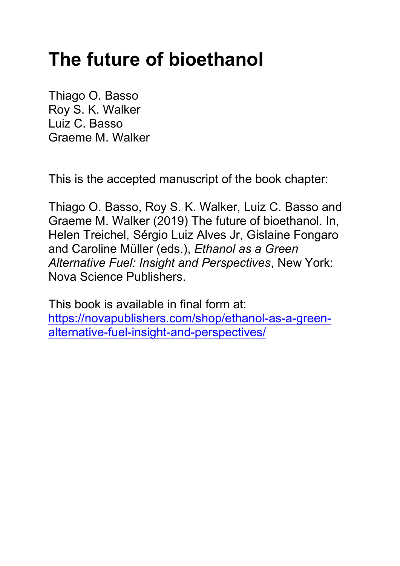# **The future of bioethanol**

Thiago O. Basso Roy S. K. Walker Luiz C. Basso Graeme M. Walker

This is the accepted manuscript of the book chapter:

Thiago O. Basso, Roy S. K. Walker, Luiz C. Basso and Graeme M. Walker (2019) The future of bioethanol. In, Helen Treichel, Sérgio Luiz Alves Jr, Gislaine Fongaro and Caroline Müller (eds.), *Ethanol as a Green Alternative Fuel: Insight and Perspectives*, New York: Nova Science Publishers.

This book is available in final form at: [https://novapublishers.com/shop/ethanol-as-a-green](https://novapublishers.com/shop/ethanol-as-a-green-alternative-fuel-insight-and-perspectives/)[alternative-fuel-insight-and-perspectives/](https://novapublishers.com/shop/ethanol-as-a-green-alternative-fuel-insight-and-perspectives/)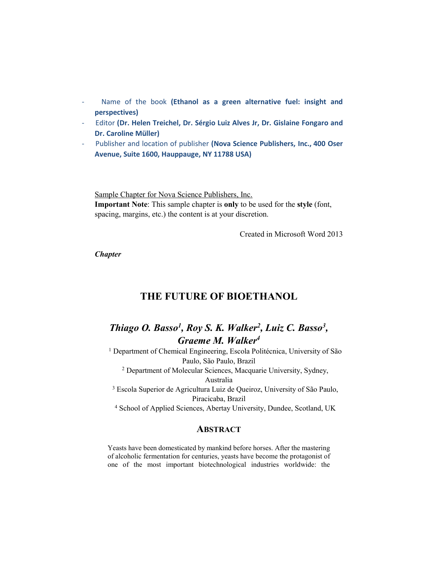- Name of the book (Ethanol as a green alternative fuel: insight and **perspectives)**
- Editor **(Dr. Helen Treichel, Dr. Sérgio Luiz Alves Jr, Dr. Gislaine Fongaro and Dr. Caroline Müller)**
- Publisher and location of publisher **(Nova Science Publishers, Inc., 400 Oser Avenue, Suite 1600, Hauppauge, NY 11788 USA)**

Sample Chapter for Nova Science Publishers, Inc. **Important Note**: This sample chapter is **only** to be used for the **style** (font, spacing, margins, etc.) the content is at your discretion.

Created in Microsoft Word 2013

*Chapter* 

# **THE FUTURE OF BIOETHANOL**

# *Thiago O. Basso<sup>1</sup>, Roy S. K. Walker<sup>2</sup>, Luiz C. Basso<sup>3</sup>, Graeme M. Walker4*

<sup>1</sup> Department of Chemical Engineering, Escola Politécnica, University of São Paulo, São Paulo, Brazil <sup>2</sup> Department of Molecular Sciences, Macquarie University, Sydney, Australia <sup>3</sup> Escola Superior de Agricultura Luiz de Queiroz, University of São Paulo, Piracicaba, Brazil <sup>4</sup> School of Applied Sciences, Abertay University, Dundee, Scotland, UK

## **ABSTRACT**

Yeasts have been domesticated by mankind before horses. After the mastering of alcoholic fermentation for centuries, yeasts have become the protagonist of one of the most important biotechnological industries worldwide: the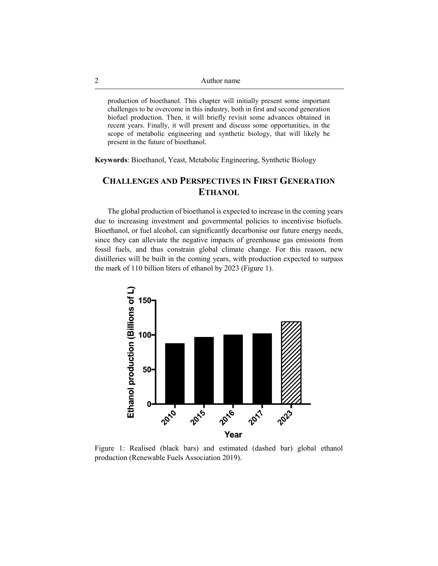production of bioethanol. This chapter will initially present some important challenges to be overcome in this industry, both in first and second generation biofuel production. Then, it will briefly revisit some advances obtained in recent years. Finally, it will present and discuss some opportunities, in the scope of metabolic engineering and synthetic biology, that will likely be present in the future of bioethanol.

**Keywords**: Bioethanol, Yeast, Metabolic Engineering, Synthetic Biology

# **CHALLENGES AND PERSPECTIVES IN FIRST GENERATION ETHANOL**

The global production of bioethanol is expected to increase in the coming years due to increasing investment and governmental policies to incentivise biofuels. Bioethanol, or fuel alcohol, can significantly decarbonise our future energy needs, since they can alleviate the negative impacts of greenhouse gas emissions from fossil fuels, and thus constrain global climate change. For this reason, new distilleries will be built in the coming years, with production expected to surpass the mark of 110 billion liters of ethanol by 2023 (Figure 1).



Figure 1: Realised (black bars) and estimated (dashed bar) global ethanol production (Renewable Fuels Association 2019).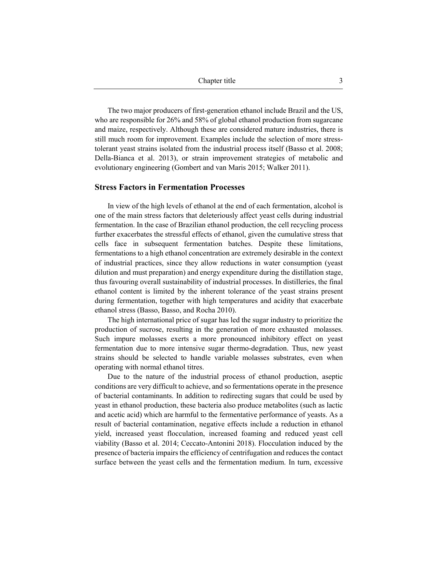The two major producers of first-generation ethanol include Brazil and the US, who are responsible for 26% and 58% of global ethanol production from sugarcane and maize, respectively. Although these are considered mature industries, there is still much room for improvement. Examples include the selection of more stresstolerant yeast strains isolated from the industrial process itself (Basso et al. 2008; Della-Bianca et al. 2013), or strain improvement strategies of metabolic and evolutionary engineering (Gombert and van Maris 2015; Walker 2011).

#### **Stress Factors in Fermentation Processes**

In view of the high levels of ethanol at the end of each fermentation, alcohol is one of the main stress factors that deleteriously affect yeast cells during industrial fermentation. In the case of Brazilian ethanol production, the cell recycling process further exacerbates the stressful effects of ethanol, given the cumulative stress that cells face in subsequent fermentation batches. Despite these limitations, fermentations to a high ethanol concentration are extremely desirable in the context of industrial practices, since they allow reductions in water consumption (yeast dilution and must preparation) and energy expenditure during the distillation stage, thus favouring overall sustainability of industrial processes. In distilleries, the final ethanol content is limited by the inherent tolerance of the yeast strains present during fermentation, together with high temperatures and acidity that exacerbate ethanol stress (Basso, Basso, and Rocha 2010).

The high international price of sugar has led the sugar industry to prioritize the production of sucrose, resulting in the generation of more exhausted molasses. Such impure molasses exerts a more pronounced inhibitory effect on yeast fermentation due to more intensive sugar thermo-degradation. Thus, new yeast strains should be selected to handle variable molasses substrates, even when operating with normal ethanol titres.

Due to the nature of the industrial process of ethanol production, aseptic conditions are very difficult to achieve, and so fermentations operate in the presence of bacterial contaminants. In addition to redirecting sugars that could be used by yeast in ethanol production, these bacteria also produce metabolites (such as lactic and acetic acid) which are harmful to the fermentative performance of yeasts. As a result of bacterial contamination, negative effects include a reduction in ethanol yield, increased yeast flocculation, increased foaming and reduced yeast cell viability (Basso et al. 2014; Ceccato-Antonini 2018). Flocculation induced by the presence of bacteria impairs the efficiency of centrifugation and reduces the contact surface between the yeast cells and the fermentation medium. In turn, excessive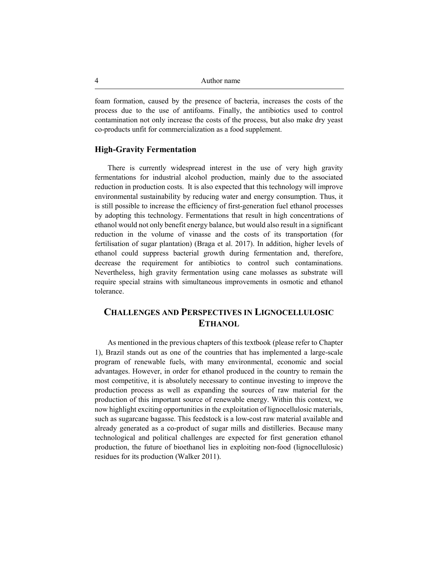foam formation, caused by the presence of bacteria, increases the costs of the process due to the use of antifoams. Finally, the antibiotics used to control contamination not only increase the costs of the process, but also make dry yeast co-products unfit for commercialization as a food supplement.

## **High-Gravity Fermentation**

There is currently widespread interest in the use of very high gravity fermentations for industrial alcohol production, mainly due to the associated reduction in production costs. It is also expected that this technology will improve environmental sustainability by reducing water and energy consumption. Thus, it is still possible to increase the efficiency of first-generation fuel ethanol processes by adopting this technology. Fermentations that result in high concentrations of ethanol would not only benefit energy balance, but would also result in a significant reduction in the volume of vinasse and the costs of its transportation (for fertilisation of sugar plantation) (Braga et al. 2017). In addition, higher levels of ethanol could suppress bacterial growth during fermentation and, therefore, decrease the requirement for antibiotics to control such contaminations. Nevertheless, high gravity fermentation using cane molasses as substrate will require special strains with simultaneous improvements in osmotic and ethanol tolerance.

# **CHALLENGES AND PERSPECTIVES IN LIGNOCELLULOSIC ETHANOL**

As mentioned in the previous chapters of this textbook (please refer to Chapter 1), Brazil stands out as one of the countries that has implemented a large-scale program of renewable fuels, with many environmental, economic and social advantages. However, in order for ethanol produced in the country to remain the most competitive, it is absolutely necessary to continue investing to improve the production process as well as expanding the sources of raw material for the production of this important source of renewable energy. Within this context, we now highlight exciting opportunities in the exploitation of lignocellulosic materials, such as sugarcane bagasse. This feedstock is a low-cost raw material available and already generated as a co-product of sugar mills and distilleries. Because many technological and political challenges are expected for first generation ethanol production, the future of bioethanol lies in exploiting non-food (lignocellulosic) residues for its production (Walker 2011).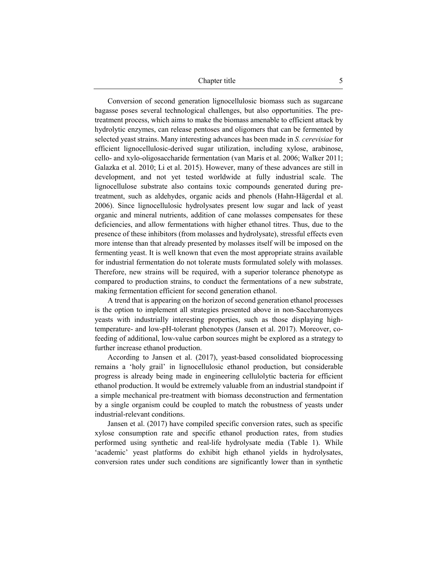Chapter title 5

Conversion of second generation lignocellulosic biomass such as sugarcane bagasse poses several technological challenges, but also opportunities. The pretreatment process, which aims to make the biomass amenable to efficient attack by hydrolytic enzymes, can release pentoses and oligomers that can be fermented by selected yeast strains. Many interesting advances has been made in *S. cerevisiae* for efficient lignocellulosic-derived sugar utilization, including xylose, arabinose, cello- and xylo-oligosaccharide fermentation (van Maris et al. 2006; Walker 2011; Galazka et al. 2010; Li et al. 2015). However, many of these advances are still in development, and not yet tested worldwide at fully industrial scale. The lignocellulose substrate also contains toxic compounds generated during pretreatment, such as aldehydes, organic acids and phenols (Hahn-Hägerdal et al. 2006). Since lignocellulosic hydrolysates present low sugar and lack of yeast organic and mineral nutrients, addition of cane molasses compensates for these deficiencies, and allow fermentations with higher ethanol titres. Thus, due to the presence of these inhibitors (from molasses and hydrolysate), stressful effects even more intense than that already presented by molasses itself will be imposed on the fermenting yeast. It is well known that even the most appropriate strains available for industrial fermentation do not tolerate musts formulated solely with molasses. Therefore, new strains will be required, with a superior tolerance phenotype as compared to production strains, to conduct the fermentations of a new substrate, making fermentation efficient for second generation ethanol.

A trend that is appearing on the horizon of second generation ethanol processes is the option to implement all strategies presented above in non-Saccharomyces yeasts with industrially interesting properties, such as those displaying hightemperature- and low-pH-tolerant phenotypes (Jansen et al. 2017). Moreover, cofeeding of additional, low-value carbon sources might be explored as a strategy to further increase ethanol production.

According to Jansen et al. (2017), yeast-based consolidated bioprocessing remains a 'holy grail' in lignocellulosic ethanol production, but considerable progress is already being made in engineering cellulolytic bacteria for efficient ethanol production. It would be extremely valuable from an industrial standpoint if a simple mechanical pre-treatment with biomass deconstruction and fermentation by a single organism could be coupled to match the robustness of yeasts under industrial-relevant conditions.

Jansen et al. (2017) have compiled specific conversion rates, such as specific xylose consumption rate and specific ethanol production rates, from studies performed using synthetic and real-life hydrolysate media (Table 1). While 'academic' yeast platforms do exhibit high ethanol yields in hydrolysates, conversion rates under such conditions are significantly lower than in synthetic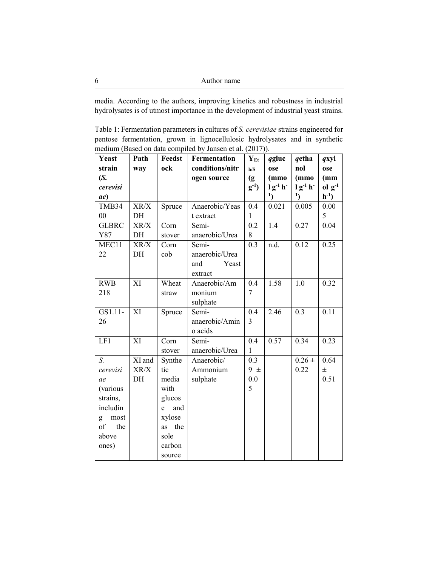media. According to the authors, improving kinetics and robustness in industrial hydrolysates is of utmost importance in the development of industrial yeast strains.

Table 1: Fermentation parameters in cultures of *S. cerevisiae* strains engineered for pentose fermentation, grown in lignocellulosic hydrolysates and in synthetic medium (Based on data compiled by Jansen et al. (2017)).

| Yeast        | Path            | Feedst   | Fermentation    | $Y_{Et}$     | qgluc         | qetha            | qxyl           |
|--------------|-----------------|----------|-----------------|--------------|---------------|------------------|----------------|
| strain       | way             | ock      | conditions/nitr | h/S          | ose           | nol              | ose            |
| (S.          |                 |          | ogen source     | (g)          | (mmo          | (mmo             | (mm)           |
| cerevisi     |                 |          |                 | $g-1$        | $lg^{-1} h^-$ | $lg^{-1} h^{-}$  | $ol \, g^{-1}$ |
| ae)          |                 |          |                 |              | $\mathbf{1}$  | $\mathbf{1}$     | $h^{-1}$ )     |
| TMB34        | XR/X            | Spruce   | Anaerobic/Yeas  | 0.4          | 0.021         | 0.005            | 0.00           |
| $00\,$       | DH              |          | t extract       | 1            |               |                  | 5              |
| <b>GLBRC</b> | XR/X            | Corn     | Semi-           | 0.2          | 1.4           | 0.27             | 0.04           |
| Y87          | DH              | stover   | anaerobic/Urea  | 8            |               |                  |                |
| MEC11        | XR/X            | Corn     | Semi-           | 0.3          | n.d.          | 0.12             | 0.25           |
| 22           | DH              | cob      | anaerobic/Urea  |              |               |                  |                |
|              |                 |          | Yeast<br>and    |              |               |                  |                |
|              |                 |          | extract         |              |               |                  |                |
| <b>RWB</b>   | XI              | Wheat    | Anaerobic/Am    | 0.4          | 1.58          | 1.0              | 0.32           |
| 218          |                 | straw    | monium          | 7            |               |                  |                |
|              |                 |          | sulphate        |              |               |                  |                |
| GS1.11-      | $\overline{XI}$ | Spruce   | Semi-           | 0.4          | 2.46          | $\overline{0.3}$ | 0.11           |
| 26           |                 |          | anaerobic/Amin  | 3            |               |                  |                |
|              |                 |          | o acids         |              |               |                  |                |
| LF1          | XI              | Corn     | Semi-           | 0.4          | 0.57          | 0.34             | 0.23           |
|              |                 | stover   | anaerobic/Urea  | $\mathbf{1}$ |               |                  |                |
| $S_{\cdot}$  | XI and          | Synthe   | Anaerobic/      | 0.3          |               | $0.26 \pm$       | 0.64           |
| cerevisi     | XR/X            | tic      | Ammonium        | $9 \pm$      |               | 0.22             | $\pm$          |
| ae           | DH              | media    | sulphate        | 0.0          |               |                  | 0.51           |
| (various     |                 | with     |                 | 5            |               |                  |                |
| strains,     |                 | glucos   |                 |              |               |                  |                |
| includin     |                 | and<br>e |                 |              |               |                  |                |
| most<br>g    |                 | xylose   |                 |              |               |                  |                |
| of<br>the    |                 | as the   |                 |              |               |                  |                |
| above        |                 | sole     |                 |              |               |                  |                |
| ones)        |                 | carbon   |                 |              |               |                  |                |
|              |                 | source   |                 |              |               |                  |                |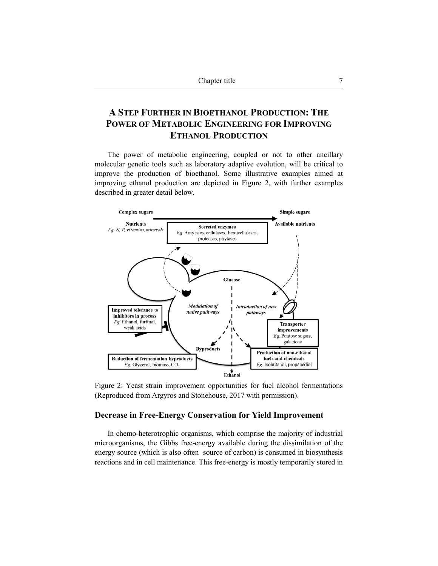# **A STEP FURTHER IN BIOETHANOL PRODUCTION: THE POWER OF METABOLIC ENGINEERING FOR IMPROVING ETHANOL PRODUCTION**

The power of metabolic engineering, coupled or not to other ancillary molecular genetic tools such as laboratory adaptive evolution, will be critical to improve the production of bioethanol. Some illustrative examples aimed at improving ethanol production are depicted in Figure 2, with further examples described in greater detail below.



Figure 2: Yeast strain improvement opportunities for fuel alcohol fermentations (Reproduced from Argyros and Stonehouse, 2017 with permission).

### **Decrease in Free-Energy Conservation for Yield Improvement**

In chemo-heterotrophic organisms, which comprise the majority of industrial microorganisms, the Gibbs free-energy available during the dissimilation of the energy source (which is also often source of carbon) is consumed in biosynthesis reactions and in cell maintenance. This free-energy is mostly temporarily stored in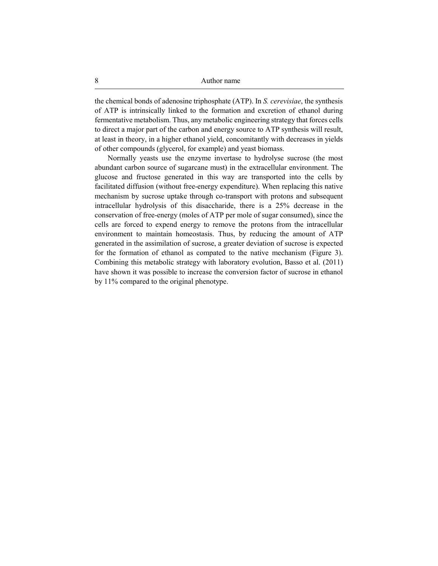the chemical bonds of adenosine triphosphate (ATP). In *S. cerevisiae*, the synthesis of ATP is intrinsically linked to the formation and excretion of ethanol during fermentative metabolism. Thus, any metabolic engineering strategy that forces cells to direct a major part of the carbon and energy source to ATP synthesis will result, at least in theory, in a higher ethanol yield, concomitantly with decreases in yields of other compounds (glycerol, for example) and yeast biomass.

Normally yeasts use the enzyme invertase to hydrolyse sucrose (the most abundant carbon source of sugarcane must) in the extracellular environment. The glucose and fructose generated in this way are transported into the cells by facilitated diffusion (without free-energy expenditure). When replacing this native mechanism by sucrose uptake through co-transport with protons and subsequent intracellular hydrolysis of this disaccharide, there is a 25% decrease in the conservation of free-energy (moles of ATP per mole of sugar consumed), since the cells are forced to expend energy to remove the protons from the intracellular environment to maintain homeostasis. Thus, by reducing the amount of ATP generated in the assimilation of sucrose, a greater deviation of sucrose is expected for the formation of ethanol as compated to the native mechanism (Figure 3). Combining this metabolic strategy with laboratory evolution, Basso et al. (2011) have shown it was possible to increase the conversion factor of sucrose in ethanol by 11% compared to the original phenotype.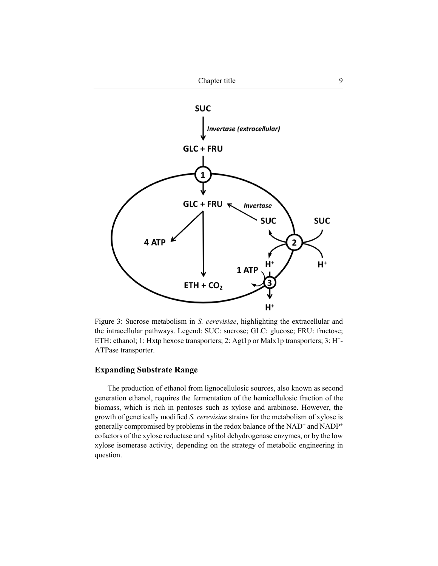

Figure 3: Sucrose metabolism in *S. cerevisiae*, highlighting the extracellular and the intracellular pathways. Legend: SUC: sucrose; GLC: glucose; FRU: fructose; ETH: ethanol; 1: Hxtp hexose transporters; 2: Agt1p or Malx1p transporters; 3: H+- ATPase transporter.

## **Expanding Substrate Range**

The production of ethanol from lignocellulosic sources, also known as second generation ethanol, requires the fermentation of the hemicellulosic fraction of the biomass, which is rich in pentoses such as xylose and arabinose. However, the growth of genetically modified *S. cerevisiae* strains for the metabolism of xylose is generally compromised by problems in the redox balance of the NAD<sup>+</sup> and NADP<sup>+</sup> cofactors of the xylose reductase and xylitol dehydrogenase enzymes, or by the low xylose isomerase activity, depending on the strategy of metabolic engineering in question.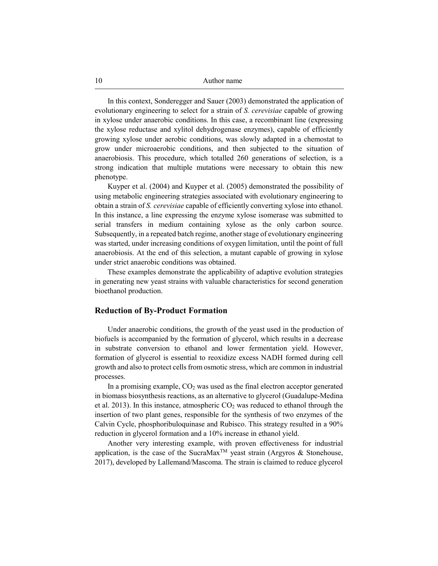In this context, Sonderegger and Sauer (2003) demonstrated the application of evolutionary engineering to select for a strain of *S. cerevisiae* capable of growing in xylose under anaerobic conditions. In this case, a recombinant line (expressing the xylose reductase and xylitol dehydrogenase enzymes), capable of efficiently growing xylose under aerobic conditions, was slowly adapted in a chemostat to grow under microaerobic conditions, and then subjected to the situation of anaerobiosis. This procedure, which totalled 260 generations of selection, is a strong indication that multiple mutations were necessary to obtain this new phenotype.

Kuyper et al. (2004) and Kuyper et al. (2005) demonstrated the possibility of using metabolic engineering strategies associated with evolutionary engineering to obtain a strain of *S. cerevisiae* capable of efficiently converting xylose into ethanol. In this instance, a line expressing the enzyme xylose isomerase was submitted to serial transfers in medium containing xylose as the only carbon source. Subsequently, in a repeated batch regime, another stage of evolutionary engineering was started, under increasing conditions of oxygen limitation, until the point of full anaerobiosis. At the end of this selection, a mutant capable of growing in xylose under strict anaerobic conditions was obtained.

These examples demonstrate the applicability of adaptive evolution strategies in generating new yeast strains with valuable characteristics for second generation bioethanol production.

## **Reduction of By-Product Formation**

Under anaerobic conditions, the growth of the yeast used in the production of biofuels is accompanied by the formation of glycerol, which results in a decrease in substrate conversion to ethanol and lower fermentation yield. However, formation of glycerol is essential to reoxidize excess NADH formed during cell growth and also to protect cells from osmotic stress, which are common in industrial processes.

In a promising example,  $CO<sub>2</sub>$  was used as the final electron acceptor generated in biomass biosynthesis reactions, as an alternative to glycerol (Guadalupe-Medina et al. 2013). In this instance, atmospheric  $CO<sub>2</sub>$  was reduced to ethanol through the insertion of two plant genes, responsible for the synthesis of two enzymes of the Calvin Cycle, phosphoribuloquinase and Rubisco. This strategy resulted in a 90% reduction in glycerol formation and a 10% increase in ethanol yield.

Another very interesting example, with proven effectiveness for industrial application, is the case of the SucraMax<sup>TM</sup> yeast strain (Argyros & Stonehouse, 2017), developed by Lallemand/Mascoma. The strain is claimed to reduce glycerol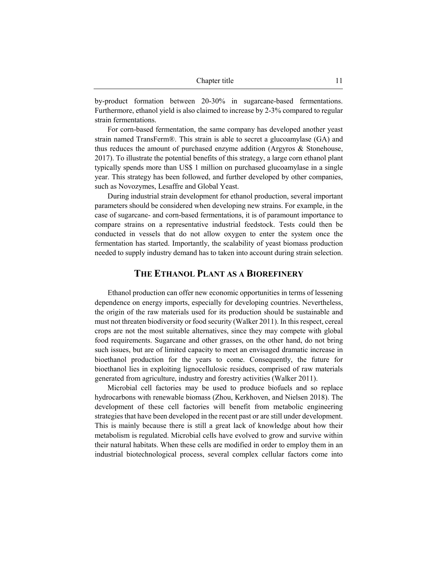by-product formation between 20-30% in sugarcane-based fermentations. Furthermore, ethanol yield is also claimed to increase by 2-3% compared to regular strain fermentations.

For corn-based fermentation, the same company has developed another yeast strain named TransFerm®. This strain is able to secret a glucoamylase (GA) and thus reduces the amount of purchased enzyme addition (Argyros & Stonehouse, 2017). To illustrate the potential benefits of this strategy, a large corn ethanol plant typically spends more than US\$ 1 million on purchased glucoamylase in a single year. This strategy has been followed, and further developed by other companies, such as Novozymes, Lesaffre and Global Yeast.

During industrial strain development for ethanol production, several important parameters should be considered when developing new strains. For example, in the case of sugarcane- and corn-based fermentations, it is of paramount importance to compare strains on a representative industrial feedstock. Tests could then be conducted in vessels that do not allow oxygen to enter the system once the fermentation has started. Importantly, the scalability of yeast biomass production needed to supply industry demand has to taken into account during strain selection.

## **THE ETHANOL PLANT AS A BIOREFINERY**

Ethanol production can offer new economic opportunities in terms of lessening dependence on energy imports, especially for developing countries. Nevertheless, the origin of the raw materials used for its production should be sustainable and must not threaten biodiversity or food security (Walker 2011). In this respect, cereal crops are not the most suitable alternatives, since they may compete with global food requirements. Sugarcane and other grasses, on the other hand, do not bring such issues, but are of limited capacity to meet an envisaged dramatic increase in bioethanol production for the years to come. Consequently, the future for bioethanol lies in exploiting lignocellulosic residues, comprised of raw materials generated from agriculture, industry and forestry activities (Walker 2011).

Microbial cell factories may be used to produce biofuels and so replace hydrocarbons with renewable biomass (Zhou, Kerkhoven, and Nielsen 2018). The development of these cell factories will benefit from metabolic engineering strategies that have been developed in the recent past or are still under development. This is mainly because there is still a great lack of knowledge about how their metabolism is regulated. Microbial cells have evolved to grow and survive within their natural habitats. When these cells are modified in order to employ them in an industrial biotechnological process, several complex cellular factors come into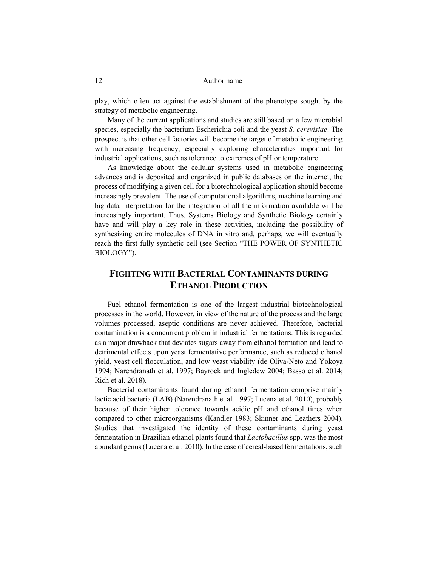play, which often act against the establishment of the phenotype sought by the strategy of metabolic engineering.

Many of the current applications and studies are still based on a few microbial species, especially the bacterium Escherichia coli and the yeast *S. cerevisiae*. The prospect is that other cell factories will become the target of metabolic engineering with increasing frequency, especially exploring characteristics important for industrial applications, such as tolerance to extremes of pH or temperature.

As knowledge about the cellular systems used in metabolic engineering advances and is deposited and organized in public databases on the internet, the process of modifying a given cell for a biotechnological application should become increasingly prevalent. The use of computational algorithms, machine learning and big data interpretation for the integration of all the information available will be increasingly important. Thus, Systems Biology and Synthetic Biology certainly have and will play a key role in these activities, including the possibility of synthesizing entire molecules of DNA in vitro and, perhaps, we will eventually reach the first fully synthetic cell (see Section "THE POWER OF SYNTHETIC BIOLOGY").

# **FIGHTING WITH BACTERIAL CONTAMINANTS DURING ETHANOL PRODUCTION**

Fuel ethanol fermentation is one of the largest industrial biotechnological processes in the world. However, in view of the nature of the process and the large volumes processed, aseptic conditions are never achieved. Therefore, bacterial contamination is a concurrent problem in industrial fermentations. This is regarded as a major drawback that deviates sugars away from ethanol formation and lead to detrimental effects upon yeast fermentative performance, such as reduced ethanol yield, yeast cell flocculation, and low yeast viability (de Oliva-Neto and Yokoya 1994; Narendranath et al. 1997; Bayrock and Ingledew 2004; Basso et al. 2014; Rich et al. 2018).

Bacterial contaminants found during ethanol fermentation comprise mainly lactic acid bacteria (LAB) (Narendranath et al. 1997; Lucena et al. 2010), probably because of their higher tolerance towards acidic pH and ethanol titres when compared to other microorganisms (Kandler 1983; Skinner and Leathers 2004). Studies that investigated the identity of these contaminants during yeast fermentation in Brazilian ethanol plants found that *Lactobacillus* spp. was the most abundant genus (Lucena et al. 2010). In the case of cereal-based fermentations, such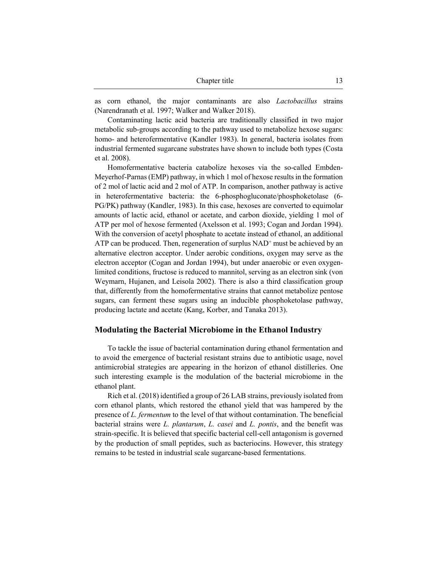| Chapter title |  |
|---------------|--|
|               |  |

as corn ethanol, the major contaminants are also *Lactobacillus* strains (Narendranath et al. 1997; Walker and Walker 2018).

Contaminating lactic acid bacteria are traditionally classified in two major metabolic sub-groups according to the pathway used to metabolize hexose sugars: homo- and heterofermentative (Kandler 1983). In general, bacteria isolates from industrial fermented sugarcane substrates have shown to include both types (Costa et al. 2008).

Homofermentative bacteria catabolize hexoses via the so-called Embden-Meyerhof-Parnas (EMP) pathway, in which 1 mol of hexose results in the formation of 2 mol of lactic acid and 2 mol of ATP. In comparison, another pathway is active in heterofermentative bacteria: the 6-phosphogluconate/phosphoketolase (6- PG/PK) pathway (Kandler, 1983). In this case, hexoses are converted to equimolar amounts of lactic acid, ethanol or acetate, and carbon dioxide, yielding 1 mol of ATP per mol of hexose fermented (Axelsson et al. 1993; Cogan and Jordan 1994). With the conversion of acetyl phosphate to acetate instead of ethanol, an additional ATP can be produced. Then, regeneration of surplus  $NAD<sup>+</sup>$  must be achieved by an alternative electron acceptor. Under aerobic conditions, oxygen may serve as the electron acceptor (Cogan and Jordan 1994), but under anaerobic or even oxygenlimited conditions, fructose is reduced to mannitol, serving as an electron sink (von Weymarn, Hujanen, and Leisola 2002). There is also a third classification group that, differently from the homofermentative strains that cannot metabolize pentose sugars, can ferment these sugars using an inducible phosphoketolase pathway, producing lactate and acetate (Kang, Korber, and Tanaka 2013).

## **Modulating the Bacterial Microbiome in the Ethanol Industry**

To tackle the issue of bacterial contamination during ethanol fermentation and to avoid the emergence of bacterial resistant strains due to antibiotic usage, novel antimicrobial strategies are appearing in the horizon of ethanol distilleries. One such interesting example is the modulation of the bacterial microbiome in the ethanol plant.

Rich et al. (2018) identified a group of 26 LAB strains, previously isolated from corn ethanol plants, which restored the ethanol yield that was hampered by the presence of *L. fermentum* to the level of that without contamination. The beneficial bacterial strains were *L. plantarum*, *L. casei* and *L. pontis*, and the benefit was strain-specific. It is believed that specific bacterial cell-cell antagonism is governed by the production of small peptides, such as bacteriocins. However, this strategy remains to be tested in industrial scale sugarcane-based fermentations.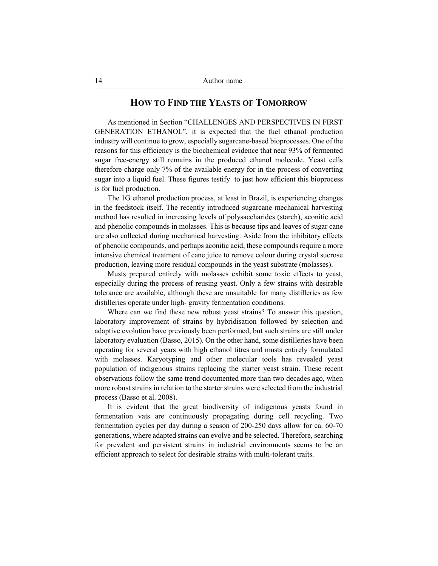## **HOW TO FIND THE YEASTS OF TOMORROW**

As mentioned in Section "CHALLENGES AND PERSPECTIVES IN FIRST GENERATION ETHANOL", it is expected that the fuel ethanol production industry will continue to grow, especially sugarcane-based bioprocesses. One of the reasons for this efficiency is the biochemical evidence that near 93% of fermented sugar free-energy still remains in the produced ethanol molecule. Yeast cells therefore charge only 7% of the available energy for in the process of converting sugar into a liquid fuel. These figures testify to just how efficient this bioprocess is for fuel production.

The 1G ethanol production process, at least in Brazil, is experiencing changes in the feedstock itself. The recently introduced sugarcane mechanical harvesting method has resulted in increasing levels of polysaccharides (starch), aconitic acid and phenolic compounds in molasses. This is because tips and leaves of sugar cane are also collected during mechanical harvesting. Aside from the inhibitory effects of phenolic compounds, and perhaps aconitic acid, these compounds require a more intensive chemical treatment of cane juice to remove colour during crystal sucrose production, leaving more residual compounds in the yeast substrate (molasses).

Musts prepared entirely with molasses exhibit some toxic effects to yeast, especially during the process of reusing yeast. Only a few strains with desirable tolerance are available, although these are unsuitable for many distilleries as few distilleries operate under high- gravity fermentation conditions.

Where can we find these new robust yeast strains? To answer this question, laboratory improvement of strains by hybridisation followed by selection and adaptive evolution have previously been performed, but such strains are still under laboratory evaluation (Basso, 2015). On the other hand, some distilleries have been operating for several years with high ethanol titres and musts entirely formulated with molasses. Karyotyping and other molecular tools has revealed yeast population of indigenous strains replacing the starter yeast strain. These recent observations follow the same trend documented more than two decades ago, when more robust strains in relation to the starter strains were selected from the industrial process (Basso et al. 2008).

It is evident that the great biodiversity of indigenous yeasts found in fermentation vats are continuously propagating during cell recycling. Two fermentation cycles per day during a season of 200-250 days allow for ca. 60-70 generations, where adapted strains can evolve and be selected. Therefore, searching for prevalent and persistent strains in industrial environments seems to be an efficient approach to select for desirable strains with multi-tolerant traits.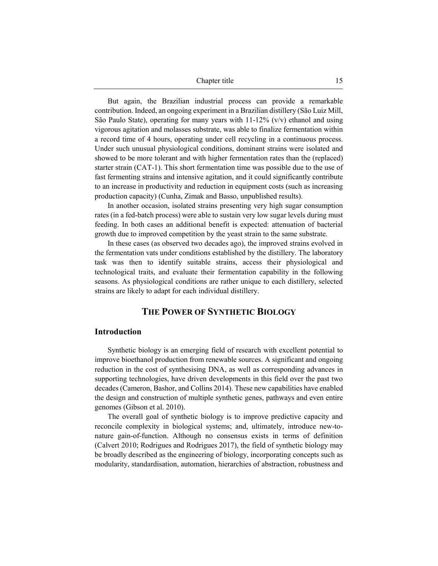| Chapter title |  |
|---------------|--|
|               |  |

But again, the Brazilian industrial process can provide a remarkable contribution. Indeed, an ongoing experiment in a Brazilian distillery (São Luiz Mill, São Paulo State), operating for many years with  $11-12\%$  (v/v) ethanol and using vigorous agitation and molasses substrate, was able to finalize fermentation within a record time of 4 hours, operating under cell recycling in a continuous process. Under such unusual physiological conditions, dominant strains were isolated and showed to be more tolerant and with higher fermentation rates than the (replaced) starter strain (CAT-1). This short fermentation time was possible due to the use of fast fermenting strains and intensive agitation, and it could significantly contribute to an increase in productivity and reduction in equipment costs (such as increasing production capacity) (Cunha, Zimak and Basso, unpublished results).

In another occasion, isolated strains presenting very high sugar consumption rates (in a fed-batch process) were able to sustain very low sugar levels during must feeding. In both cases an additional benefit is expected: attenuation of bacterial growth due to improved competition by the yeast strain to the same substrate.

In these cases (as observed two decades ago), the improved strains evolved in the fermentation vats under conditions established by the distillery. The laboratory task was then to identify suitable strains, access their physiological and technological traits, and evaluate their fermentation capability in the following seasons. As physiological conditions are rather unique to each distillery, selected strains are likely to adapt for each individual distillery.

## **THE POWER OF SYNTHETIC BIOLOGY**

#### **Introduction**

Synthetic biology is an emerging field of research with excellent potential to improve bioethanol production from renewable sources. A significant and ongoing reduction in the cost of synthesising DNA, as well as corresponding advances in supporting technologies, have driven developments in this field over the past two decades (Cameron, Bashor, and Collins 2014). These new capabilities have enabled the design and construction of multiple synthetic genes, pathways and even entire genomes (Gibson et al. 2010).

The overall goal of synthetic biology is to improve predictive capacity and reconcile complexity in biological systems; and, ultimately, introduce new-tonature gain-of-function. Although no consensus exists in terms of definition (Calvert 2010; Rodrigues and Rodrigues 2017), the field of synthetic biology may be broadly described as the engineering of biology, incorporating concepts such as modularity, standardisation, automation, hierarchies of abstraction, robustness and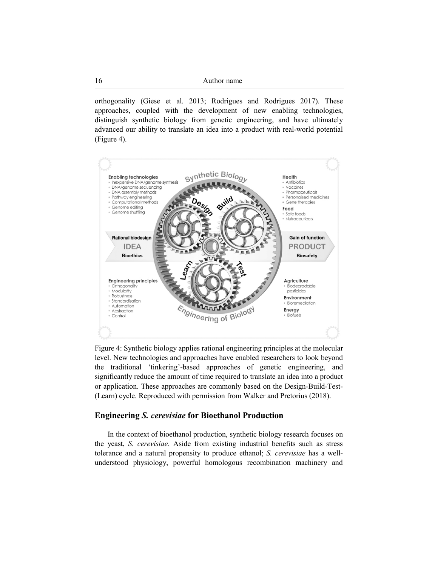orthogonality (Giese et al. 2013; Rodrigues and Rodrigues 2017). These approaches, coupled with the development of new enabling technologies, distinguish synthetic biology from genetic engineering, and have ultimately advanced our ability to translate an idea into a product with real-world potential (Figure 4).



Figure 4: Synthetic biology applies rational engineering principles at the molecular level. New technologies and approaches have enabled researchers to look beyond the traditional 'tinkering'-based approaches of genetic engineering, and significantly reduce the amount of time required to translate an idea into a product or application. These approaches are commonly based on the Design-Build-Test- (Learn) cycle. Reproduced with permission from Walker and Pretorius (2018).

## **Engineering** *S. cerevisiae* **for Bioethanol Production**

In the context of bioethanol production, synthetic biology research focuses on the yeast, *S. cerevisiae*. Aside from existing industrial benefits such as stress tolerance and a natural propensity to produce ethanol; *S. cerevisiae* has a wellunderstood physiology, powerful homologous recombination machinery and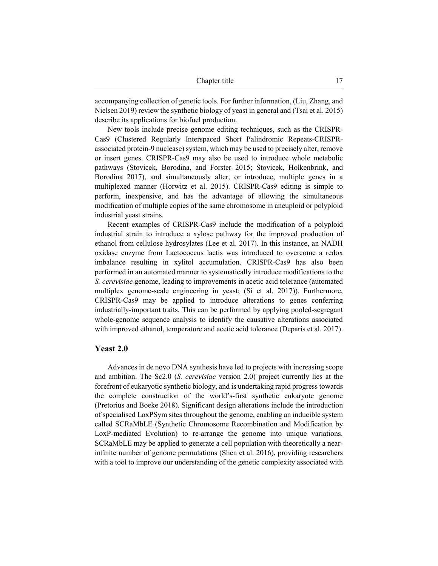accompanying collection of genetic tools. For further information, (Liu, Zhang, and Nielsen 2019) review the synthetic biology of yeast in general and (Tsai et al. 2015) describe its applications for biofuel production.

New tools include precise genome editing techniques, such as the CRISPR-Cas9 (Clustered Regularly Interspaced Short Palindromic Repeats-CRISPRassociated protein-9 nuclease) system, which may be used to precisely alter, remove or insert genes. CRISPR-Cas9 may also be used to introduce whole metabolic pathways (Stovicek, Borodina, and Forster 2015; Stovicek, Holkenbrink, and Borodina 2017), and simultaneously alter, or introduce, multiple genes in a multiplexed manner (Horwitz et al. 2015). CRISPR-Cas9 editing is simple to perform, inexpensive, and has the advantage of allowing the simultaneous modification of multiple copies of the same chromosome in aneuploid or polyploid industrial yeast strains.

Recent examples of CRISPR-Cas9 include the modification of a polyploid industrial strain to introduce a xylose pathway for the improved production of ethanol from cellulose hydrosylates (Lee et al. 2017). In this instance, an NADH oxidase enzyme from Lactococcus lactis was introduced to overcome a redox imbalance resulting in xylitol accumulation. CRISPR-Cas9 has also been performed in an automated manner to systematically introduce modifications to the *S. cerevisiae* genome, leading to improvements in acetic acid tolerance (automated multiplex genome-scale engineering in yeast; (Si et al. 2017)). Furthermore, CRISPR-Cas9 may be applied to introduce alterations to genes conferring industrially-important traits. This can be performed by applying pooled-segregant whole-genome sequence analysis to identify the causative alterations associated with improved ethanol, temperature and acetic acid tolerance (Deparis et al. 2017).

#### **Yeast 2.0**

Advances in de novo DNA synthesis have led to projects with increasing scope and ambition. The Sc2.0 (*S. cerevisiae* version 2.0) project currently lies at the forefront of eukaryotic synthetic biology, and is undertaking rapid progress towards the complete construction of the world's-first synthetic eukaryote genome (Pretorius and Boeke 2018). Significant design alterations include the introduction of specialised LoxPSym sites throughout the genome, enabling an inducible system called SCRaMbLE (Synthetic Chromosome Recombination and Modification by LoxP-mediated Evolution) to re-arrange the genome into unique variations. SCRaMbLE may be applied to generate a cell population with theoretically a nearinfinite number of genome permutations (Shen et al. 2016), providing researchers with a tool to improve our understanding of the genetic complexity associated with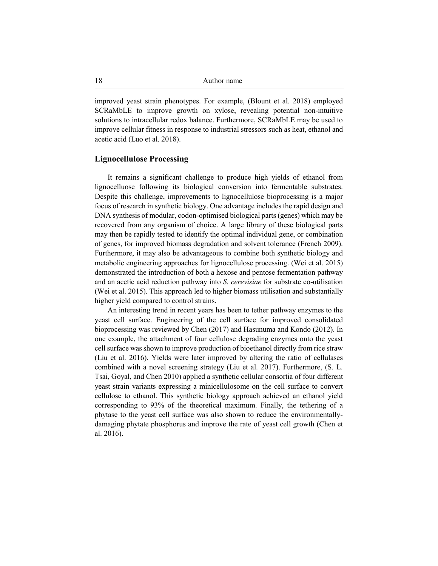improved yeast strain phenotypes. For example, (Blount et al. 2018) employed SCRaMbLE to improve growth on xylose, revealing potential non-intuitive solutions to intracellular redox balance. Furthermore, SCRaMbLE may be used to improve cellular fitness in response to industrial stressors such as heat, ethanol and acetic acid (Luo et al. 2018).

#### **Lignocellulose Processing**

It remains a significant challenge to produce high yields of ethanol from lignocelluose following its biological conversion into fermentable substrates. Despite this challenge, improvements to lignocellulose bioprocessing is a major focus of research in synthetic biology. One advantage includes the rapid design and DNA synthesis of modular, codon-optimised biological parts (genes) which may be recovered from any organism of choice. A large library of these biological parts may then be rapidly tested to identify the optimal individual gene, or combination of genes, for improved biomass degradation and solvent tolerance (French 2009). Furthermore, it may also be advantageous to combine both synthetic biology and metabolic engineering approaches for lignocellulose processing. (Wei et al. 2015) demonstrated the introduction of both a hexose and pentose fermentation pathway and an acetic acid reduction pathway into *S. cerevisiae* for substrate co-utilisation (Wei et al. 2015). This approach led to higher biomass utilisation and substantially higher yield compared to control strains.

An interesting trend in recent years has been to tether pathway enzymes to the yeast cell surface. Engineering of the cell surface for improved consolidated bioprocessing was reviewed by Chen (2017) and Hasunuma and Kondo (2012). In one example, the attachment of four cellulose degrading enzymes onto the yeast cell surface was shown to improve production of bioethanol directly from rice straw (Liu et al. 2016). Yields were later improved by altering the ratio of cellulases combined with a novel screening strategy (Liu et al. 2017). Furthermore, (S. L. Tsai, Goyal, and Chen 2010) applied a synthetic cellular consortia of four different yeast strain variants expressing a minicellulosome on the cell surface to convert cellulose to ethanol. This synthetic biology approach achieved an ethanol yield corresponding to 93% of the theoretical maximum. Finally, the tethering of a phytase to the yeast cell surface was also shown to reduce the environmentallydamaging phytate phosphorus and improve the rate of yeast cell growth (Chen et al. 2016).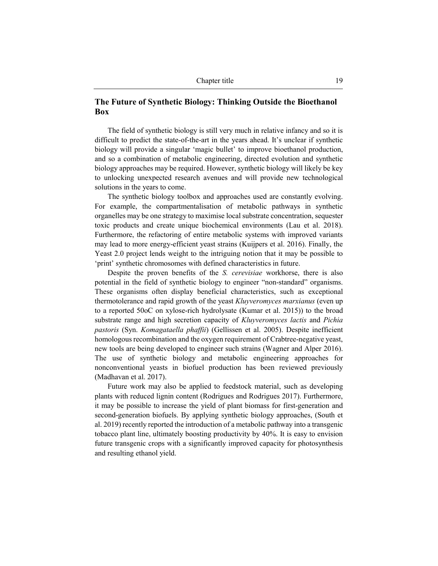## **The Future of Synthetic Biology: Thinking Outside the Bioethanol Box**

The field of synthetic biology is still very much in relative infancy and so it is difficult to predict the state-of-the-art in the years ahead. It's unclear if synthetic biology will provide a singular 'magic bullet' to improve bioethanol production, and so a combination of metabolic engineering, directed evolution and synthetic biology approaches may be required. However, synthetic biology will likely be key to unlocking unexpected research avenues and will provide new technological solutions in the years to come.

The synthetic biology toolbox and approaches used are constantly evolving. For example, the compartmentalisation of metabolic pathways in synthetic organelles may be one strategy to maximise local substrate concentration, sequester toxic products and create unique biochemical environments (Lau et al. 2018). Furthermore, the refactoring of entire metabolic systems with improved variants may lead to more energy-efficient yeast strains (Kuijpers et al. 2016). Finally, the Yeast 2.0 project lends weight to the intriguing notion that it may be possible to 'print' synthetic chromosomes with defined characteristics in future.

Despite the proven benefits of the *S. cerevisiae* workhorse, there is also potential in the field of synthetic biology to engineer "non-standard" organisms. These organisms often display beneficial characteristics, such as exceptional thermotolerance and rapid growth of the yeast *Kluyveromyces marxianus* (even up to a reported 50oC on xylose-rich hydrolysate (Kumar et al. 2015)) to the broad substrate range and high secretion capacity of *Kluyveromyces lactis* and *Pichia pastoris* (Syn. *Komagataella phaffii*) (Gellissen et al. 2005). Despite inefficient homologous recombination and the oxygen requirement of Crabtree-negative yeast, new tools are being developed to engineer such strains (Wagner and Alper 2016). The use of synthetic biology and metabolic engineering approaches for nonconventional yeasts in biofuel production has been reviewed previously (Madhavan et al. 2017).

Future work may also be applied to feedstock material, such as developing plants with reduced lignin content (Rodrigues and Rodrigues 2017). Furthermore, it may be possible to increase the yield of plant biomass for first-generation and second-generation biofuels. By applying synthetic biology approaches, (South et al. 2019) recently reported the introduction of a metabolic pathway into a transgenic tobacco plant line, ultimately boosting productivity by 40%. It is easy to envision future transgenic crops with a significantly improved capacity for photosynthesis and resulting ethanol yield.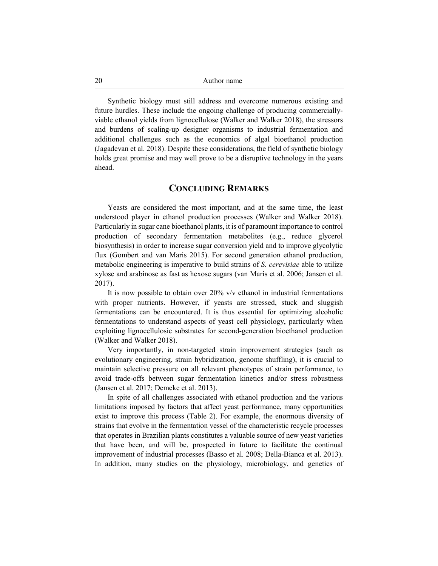Synthetic biology must still address and overcome numerous existing and future hurdles. These include the ongoing challenge of producing commerciallyviable ethanol yields from lignocellulose (Walker and Walker 2018), the stressors and burdens of scaling-up designer organisms to industrial fermentation and additional challenges such as the economics of algal bioethanol production (Jagadevan et al. 2018). Despite these considerations, the field of synthetic biology holds great promise and may well prove to be a disruptive technology in the years ahead.

## **CONCLUDING REMARKS**

Yeasts are considered the most important, and at the same time, the least understood player in ethanol production processes (Walker and Walker 2018). Particularly in sugar cane bioethanol plants, it is of paramount importance to control production of secondary fermentation metabolites (e.g., reduce glycerol biosynthesis) in order to increase sugar conversion yield and to improve glycolytic flux (Gombert and van Maris 2015). For second generation ethanol production, metabolic engineering is imperative to build strains of *S. cerevisiae* able to utilize xylose and arabinose as fast as hexose sugars (van Maris et al. 2006; Jansen et al. 2017).

It is now possible to obtain over 20% v/v ethanol in industrial fermentations with proper nutrients. However, if yeasts are stressed, stuck and sluggish fermentations can be encountered. It is thus essential for optimizing alcoholic fermentations to understand aspects of yeast cell physiology, particularly when exploiting lignocellulosic substrates for second-generation bioethanol production (Walker and Walker 2018).

Very importantly, in non-targeted strain improvement strategies (such as evolutionary engineering, strain hybridization, genome shuffling), it is crucial to maintain selective pressure on all relevant phenotypes of strain performance, to avoid trade-offs between sugar fermentation kinetics and/or stress robustness (Jansen et al. 2017; Demeke et al. 2013).

In spite of all challenges associated with ethanol production and the various limitations imposed by factors that affect yeast performance, many opportunities exist to improve this process (Table 2). For example, the enormous diversity of strains that evolve in the fermentation vessel of the characteristic recycle processes that operates in Brazilian plants constitutes a valuable source of new yeast varieties that have been, and will be, prospected in future to facilitate the continual improvement of industrial processes (Basso et al. 2008; Della-Bianca et al. 2013). In addition, many studies on the physiology, microbiology, and genetics of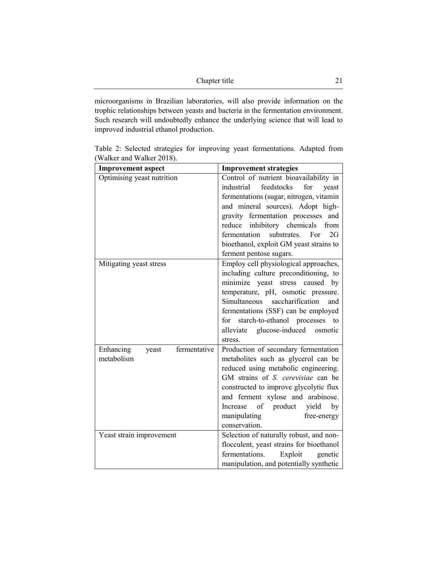| Chapter title |  |
|---------------|--|
|               |  |

microorganisms in Brazilian laboratories, will also provide information on the trophic relationships between yeasts and bacteria in the fermentation environment. Such research will undoubtedly enhance the underlying science that will lead to improved industrial ethanol production.

| <b>Improvement aspect</b>          | <b>Improvement strategies</b>                                               |
|------------------------------------|-----------------------------------------------------------------------------|
| Optimising yeast nutrition         | Control of nutrient bioavailability in                                      |
|                                    | feedstocks<br>industrial<br>for<br>yeast                                    |
|                                    | fermentations (sugar, nitrogen, vitamin                                     |
|                                    | and mineral sources). Adopt high-                                           |
|                                    | gravity fermentation processes<br>and                                       |
|                                    | inhibitory chemicals<br>reduce<br>from<br>fermentation<br>substrates.<br>2G |
|                                    | For<br>bioethanol, exploit GM yeast strains to                              |
|                                    |                                                                             |
|                                    | ferment pentose sugars.<br>Employ cell physiological approaches,            |
| Mitigating yeast stress            | including culture preconditioning, to                                       |
|                                    | minimize yeast stress caused by                                             |
|                                    | temperature, pH, osmotic pressure.                                          |
|                                    | saccharification<br>Simultaneous<br>and                                     |
|                                    | fermentations (SSF) can be employed                                         |
|                                    | starch-to-ethanol processes<br>for<br>to                                    |
|                                    | glucose-induced<br>alleviate<br>osmotic                                     |
|                                    | stress.                                                                     |
| fermentative<br>Enhancing<br>yeast | Production of secondary fermentation                                        |
| metabolism                         | metabolites such as glycerol can be                                         |
|                                    | reduced using metabolic engineering.                                        |
|                                    | GM strains of S. cerevisiae can be                                          |
|                                    | constructed to improve glycolytic flux                                      |
|                                    | and ferment xylose and arabinose.                                           |
|                                    | of<br>product<br>yield<br>Increase<br>by                                    |
|                                    | manipulating<br>free-energy                                                 |
|                                    | conservation.                                                               |
| Yeast strain improvement           | Selection of naturally robust, and non-                                     |
|                                    | flocculent, yeast strains for bioethanol                                    |
|                                    | fermentations.<br>Exploit<br>genetic                                        |
|                                    | manipulation, and potentially synthetic                                     |

Table 2: Selected strategies for improving yeast fermentations. Adapted from (Walker and Walker 2018).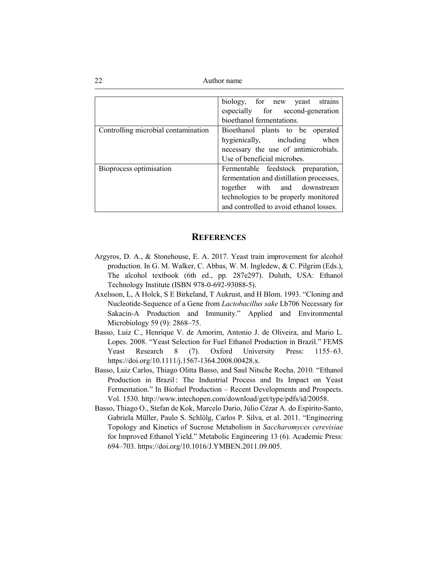|                                     | biology, for new yeast<br>strains        |
|-------------------------------------|------------------------------------------|
|                                     | especially for second-generation         |
|                                     | bioethanol fermentations.                |
| Controlling microbial contamination | Bioethanol plants to be operated         |
|                                     | hygienically, including when             |
|                                     | necessary the use of antimicrobials.     |
|                                     | Use of beneficial microbes.              |
| Bioprocess optimisation             | Fermentable feedstock preparation,       |
|                                     | fermentation and distillation processes, |
|                                     | together with and downstream             |
|                                     | technologies to be properly monitored    |
|                                     | and controlled to avoid ethanol losses.  |

#### **REFERENCES**

- Argyros, D. A., & Stonehouse, E. A. 2017. Yeast train improvement for alcohol production. In G. M. Walker, C. Abbas, W. M. Ingledew, & C. Pilgrim (Eds.), The alcohol textbook (6th ed., pp. 287e297). Duluth, USA: Ethanol Technology Institute (ISBN 978-0-692-93088-5).
- Axelsson, L, A Holck, S E Birkeland, T Aukrust, and H Blom. 1993. "Cloning and Nucleotide-Sequence of a Gene from *Lactobacillus sake* Lb706 Necessary for Sakacin-A Production and Immunity." Applied and Environmental Microbiology 59 (9): 2868–75.
- Basso, Luiz C., Henrique V. de Amorim, Antonio J. de Oliveira, and Mario L. Lopes. 2008. "Yeast Selection for Fuel Ethanol Production in Brazil." FEMS Yeast Research 8 (7). Oxford University Press: 1155–63. https://doi.org/10.1111/j.1567-1364.2008.00428.x.
- Basso, Luiz Carlos, Thiago Olitta Basso, and Saul Nitsche Rocha. 2010. "Ethanol Production in Brazil : The Industrial Process and Its Impact on Yeast Fermentation." In Biofuel Production – Recent Developments and Prospects. Vol. 1530. http://www.intechopen.com/download/get/type/pdfs/id/20058.
- Basso, Thiago O., Stefan de Kok, Marcelo Dario, Júlio Cézar A. do Espirito-Santo, Gabriela Müller, Paulo S. Schlölg, Carlos P. Silva, et al. 2011. "Engineering Topology and Kinetics of Sucrose Metabolism in *Saccharomyces cerevisiae* for Improved Ethanol Yield." Metabolic Engineering 13 (6). Academic Press: 694–703. https://doi.org/10.1016/J.YMBEN.2011.09.005.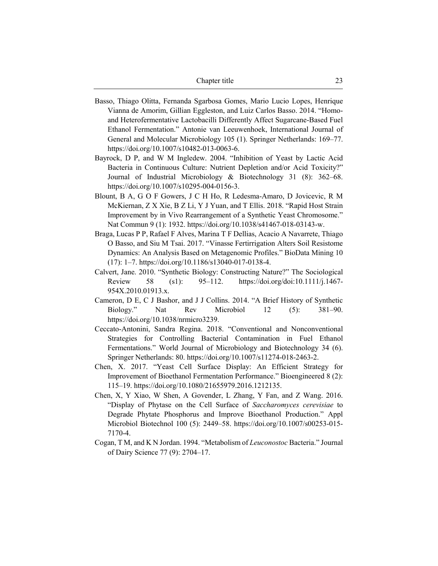| Chapter title | 23 |
|---------------|----|
|               |    |

- Basso, Thiago Olitta, Fernanda Sgarbosa Gomes, Mario Lucio Lopes, Henrique Vianna de Amorim, Gillian Eggleston, and Luiz Carlos Basso. 2014. "Homoand Heterofermentative Lactobacilli Differently Affect Sugarcane-Based Fuel Ethanol Fermentation." Antonie van Leeuwenhoek, International Journal of General and Molecular Microbiology 105 (1). Springer Netherlands: 169–77. https://doi.org/10.1007/s10482-013-0063-6.
- Bayrock, D P, and W M Ingledew. 2004. "Inhibition of Yeast by Lactic Acid Bacteria in Continuous Culture: Nutrient Depletion and/or Acid Toxicity?" Journal of Industrial Microbiology & Biotechnology 31 (8): 362–68. https://doi.org/10.1007/s10295-004-0156-3.
- Blount, B A, G O F Gowers, J C H Ho, R Ledesma-Amaro, D Jovicevic, R M McKiernan, Z X Xie, B Z Li, Y J Yuan, and T Ellis. 2018. "Rapid Host Strain Improvement by in Vivo Rearrangement of a Synthetic Yeast Chromosome." Nat Commun 9 (1): 1932. https://doi.org/10.1038/s41467-018-03143-w.
- Braga, Lucas P P, Rafael F Alves, Marina T F Dellias, Acacio A Navarrete, Thiago O Basso, and Siu M Tsai. 2017. "Vinasse Fertirrigation Alters Soil Resistome Dynamics: An Analysis Based on Metagenomic Profiles." BioData Mining 10 (17): 1–7. https://doi.org/10.1186/s13040-017-0138-4.
- Calvert, Jane. 2010. "Synthetic Biology: Constructing Nature?" The Sociological Review 58 (s1): 95–112. https://doi.org/doi:10.1111/j.1467- 954X.2010.01913.x.
- Cameron, D E, C J Bashor, and J J Collins. 2014. "A Brief History of Synthetic Biology." Nat Rev Microbiol 12 (5): 381–90. https://doi.org/10.1038/nrmicro3239.
- Ceccato-Antonini, Sandra Regina. 2018. "Conventional and Nonconventional Strategies for Controlling Bacterial Contamination in Fuel Ethanol Fermentations." World Journal of Microbiology and Biotechnology 34 (6). Springer Netherlands: 80. https://doi.org/10.1007/s11274-018-2463-2.
- Chen, X. 2017. "Yeast Cell Surface Display: An Efficient Strategy for Improvement of Bioethanol Fermentation Performance." Bioengineered 8 (2): 115–19. https://doi.org/10.1080/21655979.2016.1212135.
- Chen, X, Y Xiao, W Shen, A Govender, L Zhang, Y Fan, and Z Wang. 2016. "Display of Phytase on the Cell Surface of *Saccharomyces cerevisiae* to Degrade Phytate Phosphorus and Improve Bioethanol Production." Appl Microbiol Biotechnol 100 (5): 2449–58. https://doi.org/10.1007/s00253-015- 7170-4.
- Cogan, T M, and K N Jordan. 1994. "Metabolism of *Leuconostoc* Bacteria." Journal of Dairy Science 77 (9): 2704–17.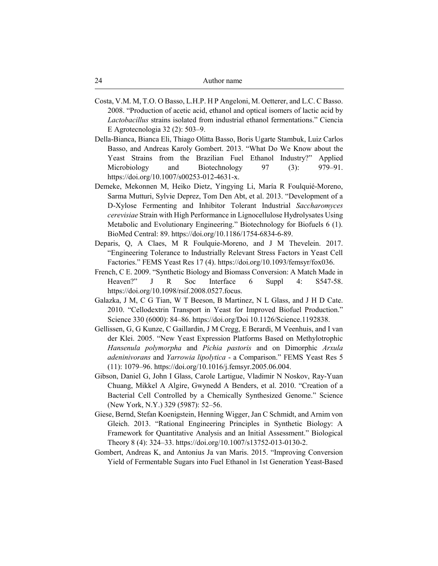- Costa, V.M. M, T.O. O Basso, L.H.P. H P Angeloni, M. Oetterer, and L.C. C Basso. 2008. "Production of acetic acid, ethanol and optical isomers of lactic acid by *Lactobacillus* strains isolated from industrial ethanol fermentations." Ciencia E Agrotecnologia 32 (2): 503–9.
- Della-Bianca, Bianca Eli, Thiago Olitta Basso, Boris Ugarte Stambuk, Luiz Carlos Basso, and Andreas Karoly Gombert. 2013. "What Do We Know about the Yeast Strains from the Brazilian Fuel Ethanol Industry?" Applied Microbiology and Biotechnology 97 (3): 979–91. https://doi.org/10.1007/s00253-012-4631-x.
- Demeke, Mekonnen M, Heiko Dietz, Yingying Li, María R Foulquié-Moreno, Sarma Mutturi, Sylvie Deprez, Tom Den Abt, et al. 2013. "Development of a D-Xylose Fermenting and Inhibitor Tolerant Industrial *Saccharomyces cerevisiae* Strain with High Performance in Lignocellulose Hydrolysates Using Metabolic and Evolutionary Engineering." Biotechnology for Biofuels 6 (1). BioMed Central: 89. https://doi.org/10.1186/1754-6834-6-89.
- Deparis, Q, A Claes, M R Foulquie-Moreno, and J M Thevelein. 2017. "Engineering Tolerance to Industrially Relevant Stress Factors in Yeast Cell Factories." FEMS Yeast Res 17 (4). https://doi.org/10.1093/femsyr/fox036.
- French, C E. 2009. "Synthetic Biology and Biomass Conversion: A Match Made in Heaven?" J R Soc Interface 6 Suppl 4: S547-58. https://doi.org/10.1098/rsif.2008.0527.focus.
- Galazka, J M, C G Tian, W T Beeson, B Martinez, N L Glass, and J H D Cate. 2010. "Cellodextrin Transport in Yeast for Improved Biofuel Production." Science 330 (6000): 84–86. https://doi.org/Doi 10.1126/Science.1192838.
- Gellissen, G, G Kunze, C Gaillardin, J M Cregg, E Berardi, M Veenhuis, and I van der Klei. 2005. "New Yeast Expression Platforms Based on Methylotrophic *Hansenula polymorpha* and *Pichia pastoris* and on Dimorphic *Arxula adeninivorans* and *Yarrowia lipolytica* - a Comparison." FEMS Yeast Res 5 (11): 1079–96. https://doi.org/10.1016/j.femsyr.2005.06.004.
- Gibson, Daniel G, John I Glass, Carole Lartigue, Vladimir N Noskov, Ray-Yuan Chuang, Mikkel A Algire, Gwynedd A Benders, et al. 2010. "Creation of a Bacterial Cell Controlled by a Chemically Synthesized Genome." Science (New York, N.Y.) 329 (5987): 52–56.
- Giese, Bernd, Stefan Koenigstein, Henning Wigger, Jan C Schmidt, and Arnim von Gleich. 2013. "Rational Engineering Principles in Synthetic Biology: A Framework for Quantitative Analysis and an Initial Assessment." Biological Theory 8 (4): 324–33. https://doi.org/10.1007/s13752-013-0130-2.
- Gombert, Andreas K, and Antonius Ja van Maris. 2015. "Improving Conversion Yield of Fermentable Sugars into Fuel Ethanol in 1st Generation Yeast-Based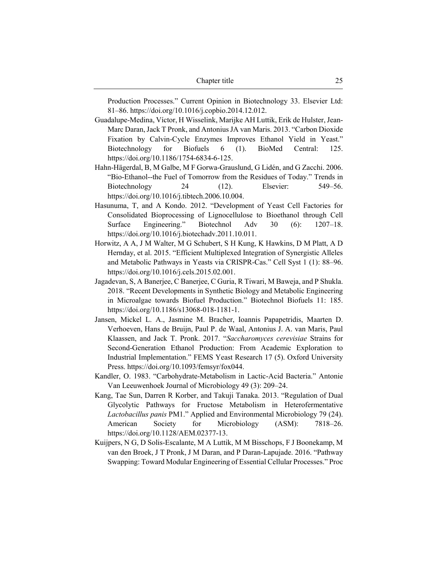| Chapter title | 25 |  |
|---------------|----|--|
|               |    |  |

Production Processes." Current Opinion in Biotechnology 33. Elsevier Ltd: 81–86. https://doi.org/10.1016/j.copbio.2014.12.012.

- Guadalupe-Medina, Víctor, H Wisselink, Marijke AH Luttik, Erik de Hulster, Jean-Marc Daran, Jack T Pronk, and Antonius JA van Maris. 2013. "Carbon Dioxide Fixation by Calvin-Cycle Enzymes Improves Ethanol Yield in Yeast." Biotechnology for Biofuels 6 (1). BioMed Central: 125. https://doi.org/10.1186/1754-6834-6-125.
- Hahn-Hägerdal, B, M Galbe, M F Gorwa-Grauslund, G Lidén, and G Zacchi. 2006. "Bio-Ethanol--the Fuel of Tomorrow from the Residues of Today." Trends in Biotechnology 24 (12). Elsevier: 549–56. https://doi.org/10.1016/j.tibtech.2006.10.004.
- Hasunuma, T, and A Kondo. 2012. "Development of Yeast Cell Factories for Consolidated Bioprocessing of Lignocellulose to Bioethanol through Cell Surface Engineering." Biotechnol Adv 30 (6): 1207–18. https://doi.org/10.1016/j.biotechadv.2011.10.011.
- Horwitz, A A, J M Walter, M G Schubert, S H Kung, K Hawkins, D M Platt, A D Hernday, et al. 2015. "Efficient Multiplexed Integration of Synergistic Alleles and Metabolic Pathways in Yeasts via CRISPR-Cas." Cell Syst 1 (1): 88–96. https://doi.org/10.1016/j.cels.2015.02.001.
- Jagadevan, S, A Banerjee, C Banerjee, C Guria, R Tiwari, M Baweja, and P Shukla. 2018. "Recent Developments in Synthetic Biology and Metabolic Engineering in Microalgae towards Biofuel Production." Biotechnol Biofuels 11: 185. https://doi.org/10.1186/s13068-018-1181-1.
- Jansen, Mickel L. A., Jasmine M. Bracher, Ioannis Papapetridis, Maarten D. Verhoeven, Hans de Bruijn, Paul P. de Waal, Antonius J. A. van Maris, Paul Klaassen, and Jack T. Pronk. 2017. "*Saccharomyces cerevisiae* Strains for Second-Generation Ethanol Production: From Academic Exploration to Industrial Implementation." FEMS Yeast Research 17 (5). Oxford University Press. https://doi.org/10.1093/femsyr/fox044.
- Kandler, O. 1983. "Carbohydrate-Metabolism in Lactic-Acid Bacteria." Antonie Van Leeuwenhoek Journal of Microbiology 49 (3): 209–24.
- Kang, Tae Sun, Darren R Korber, and Takuji Tanaka. 2013. "Regulation of Dual Glycolytic Pathways for Fructose Metabolism in Heterofermentative *Lactobacillus panis* PM1." Applied and Environmental Microbiology 79 (24). American Society for Microbiology (ASM): 7818–26. https://doi.org/10.1128/AEM.02377-13.
- Kuijpers, N G, D Solis-Escalante, M A Luttik, M M Bisschops, F J Boonekamp, M van den Broek, J T Pronk, J M Daran, and P Daran-Lapujade. 2016. "Pathway Swapping: Toward Modular Engineering of Essential Cellular Processes." Proc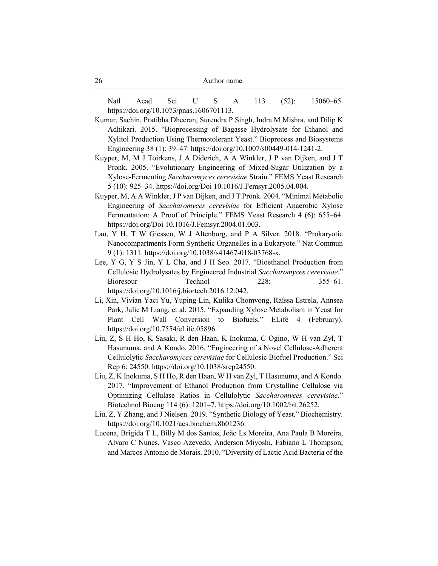Natl Acad Sci U S A 113 (52): 15060–65. https://doi.org/10.1073/pnas.1606701113.

- Kumar, Sachin, Pratibha Dheeran, Surendra P Singh, Indra M Mishra, and Dilip K Adhikari. 2015. "Bioprocessing of Bagasse Hydrolysate for Ethanol and Xylitol Production Using Thermotolerant Yeast." Bioprocess and Biosystems Engineering 38 (1): 39–47. https://doi.org/10.1007/s00449-014-1241-2.
- Kuyper, M, M J Toirkens, J A Diderich, A A Winkler, J P van Dijken, and J T Pronk. 2005. "Evolutionary Engineering of Mixed-Sugar Utilization by a Xylose-Fermenting *Saccharomyces cerevisiae* Strain." FEMS Yeast Research 5 (10): 925–34. https://doi.org/Doi 10.1016/J.Femsyr.2005.04.004.
- Kuyper, M, A A Winkler, J P van Dijken, and J T Pronk. 2004. "Minimal Metabolic Engineering of *Saccharomyces cerevisiae* for Efficient Anaerobic Xylose Fermentation: A Proof of Principle." FEMS Yeast Research 4 (6): 655–64. https://doi.org/Doi 10.1016/J.Femsyr.2004.01.003.
- Lau, Y H, T W Giessen, W J Altenburg, and P A Silver. 2018. "Prokaryotic Nanocompartments Form Synthetic Organelles in a Eukaryote." Nat Commun 9 (1): 1311. https://doi.org/10.1038/s41467-018-03768-x.
- Lee, Y G, Y S Jin, Y L Cha, and J H Seo. 2017. "Bioethanol Production from Cellulosic Hydrolysates by Engineered Industrial *Saccharomyces cerevisiae*." Bioresour Technol 228: 355–61. https://doi.org/10.1016/j.biortech.2016.12.042.
- Li, Xin, Vivian Yaci Yu, Yuping Lin, Kulika Chomvong, Raíssa Estrela, Annsea Park, Julie M Liang, et al. 2015. "Expanding Xylose Metabolism in Yeast for Plant Cell Wall Conversion to Biofuels." ELife 4 (February). https://doi.org/10.7554/eLife.05896.
- Liu, Z, S H Ho, K Sasaki, R den Haan, K Inokuma, C Ogino, W H van Zyl, T Hasunuma, and A Kondo. 2016. "Engineering of a Novel Cellulose-Adherent Cellulolytic *Saccharomyces cerevisiae* for Cellulosic Biofuel Production." Sci Rep 6: 24550. https://doi.org/10.1038/srep24550.
- Liu, Z, K Inokuma, S H Ho, R den Haan, W H van Zyl, T Hasunuma, and A Kondo. 2017. "Improvement of Ethanol Production from Crystalline Cellulose via Optimizing Cellulase Ratios in Cellulolytic *Saccharomyces cerevisiae*." Biotechnol Bioeng 114 (6): 1201–7. https://doi.org/10.1002/bit.26252.
- Liu, Z, Y Zhang, and J Nielsen. 2019. "Synthetic Biology of Yeast." Biochemistry. https://doi.org/10.1021/acs.biochem.8b01236.
- Lucena, Brigida T L, Billy M dos Santos, João Ls Moreira, Ana Paula B Moreira, Alvaro C Nunes, Vasco Azevedo, Anderson Miyoshi, Fabiano L Thompson, and Marcos Antonio de Morais. 2010. "Diversity of Lactic Acid Bacteria of the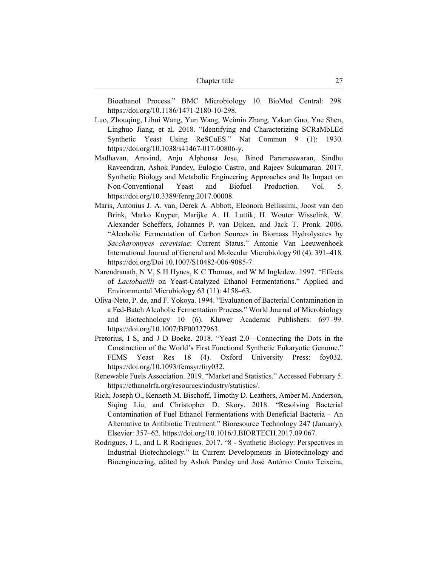| Chapter title |  |
|---------------|--|
|               |  |

Bioethanol Process." BMC Microbiology 10. BioMed Central: 298. https://doi.org/10.1186/1471-2180-10-298.

- Luo, Zhouqing, Lihui Wang, Yun Wang, Weimin Zhang, Yakun Guo, Yue Shen, Linghuo Jiang, et al. 2018. "Identifying and Characterizing SCRaMbLEd Synthetic Yeast Using ReSCuES." Nat Commun 9 (1): 1930. https://doi.org/10.1038/s41467-017-00806-y.
- Madhavan, Aravind, Anju Alphonsa Jose, Binod Parameswaran, Sindhu Raveendran, Ashok Pandey, Eulogio Castro, and Rajeev Sukumaran. 2017. Synthetic Biology and Metabolic Engineering Approaches and Its Impact on Non-Conventional Yeast and Biofuel Production. Vol. 5. https://doi.org/10.3389/fenrg.2017.00008.
- Maris, Antonius J. A. van, Derek A. Abbott, Eleonora Bellissimi, Joost van den Brink, Marko Kuyper, Marijke A. H. Luttik, H. Wouter Wisselink, W. Alexander Scheffers, Johannes P. van Dijken, and Jack T. Pronk. 2006. "Alcoholic Fermentation of Carbon Sources in Biomass Hydrolysates by *Saccharomyces cerevisiae*: Current Status." Antonie Van Leeuwenhoek International Journal of General and Molecular Microbiology 90 (4): 391–418. https://doi.org/Doi 10.1007/S10482-006-9085-7.
- Narendranath, N V, S H Hynes, K C Thomas, and W M Ingledew. 1997. "Effects of *Lactobacilli* on Yeast-Catalyzed Ethanol Fermentations." Applied and Environmental Microbiology 63 (11): 4158–63.
- Oliva-Neto, P. de, and F. Yokoya. 1994. "Evaluation of Bacterial Contamination in a Fed-Batch Alcoholic Fermentation Process." World Journal of Microbiology and Biotechnology 10 (6). Kluwer Academic Publishers: 697–99. https://doi.org/10.1007/BF00327963.
- Pretorius, I S, and J D Boeke. 2018. "Yeast 2.0—Connecting the Dots in the Construction of the World's First Functional Synthetic Eukaryotic Genome." FEMS Yeast Res 18 (4). Oxford University Press: foy032. https://doi.org/10.1093/femsyr/foy032.
- Renewable Fuels Association. 2019. "Market and Statistics." Accessed February 5. https://ethanolrfa.org/resources/industry/statistics/.
- Rich, Joseph O., Kenneth M. Bischoff, Timothy D. Leathers, Amber M. Anderson, Siqing Liu, and Christopher D. Skory. 2018. "Resolving Bacterial Contamination of Fuel Ethanol Fermentations with Beneficial Bacteria – An Alternative to Antibiotic Treatment." Bioresource Technology 247 (January). Elsevier: 357–62. https://doi.org/10.1016/J.BIORTECH.2017.09.067.
- Rodrigues, J L, and L R Rodrigues. 2017. "8 Synthetic Biology: Perspectives in Industrial Biotechnology." In Current Developments in Biotechnology and Bioengineering, edited by Ashok Pandey and José António Couto Teixeira,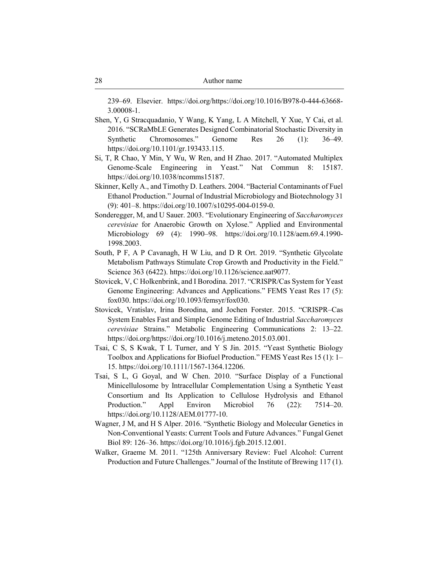239–69. Elsevier. https://doi.org/https://doi.org/10.1016/B978-0-444-63668- 3.00008-1.

- Shen, Y, G Stracquadanio, Y Wang, K Yang, L A Mitchell, Y Xue, Y Cai, et al. 2016. "SCRaMbLE Generates Designed Combinatorial Stochastic Diversity in Synthetic Chromosomes." Genome Res 26 (1): 36–49. https://doi.org/10.1101/gr.193433.115.
- Si, T, R Chao, Y Min, Y Wu, W Ren, and H Zhao. 2017. "Automated Multiplex Genome-Scale Engineering in Yeast." Nat Commun 8: 15187. https://doi.org/10.1038/ncomms15187.
- Skinner, Kelly A., and Timothy D. Leathers. 2004. "Bacterial Contaminants of Fuel Ethanol Production." Journal of Industrial Microbiology and Biotechnology 31 (9): 401–8. https://doi.org/10.1007/s10295-004-0159-0.
- Sonderegger, M, and U Sauer. 2003. "Evolutionary Engineering of *Saccharomyces cerevisiae* for Anaerobic Growth on Xylose." Applied and Environmental Microbiology 69 (4): 1990–98. https://doi.org/10.1128/aem.69.4.1990- 1998.2003.
- South, P F, A P Cavanagh, H W Liu, and D R Ort. 2019. "Synthetic Glycolate Metabolism Pathways Stimulate Crop Growth and Productivity in the Field." Science 363 (6422). https://doi.org/10.1126/science.aat9077.
- Stovicek, V, C Holkenbrink, and I Borodina. 2017. "CRISPR/Cas System for Yeast Genome Engineering: Advances and Applications." FEMS Yeast Res 17 (5): fox030. https://doi.org/10.1093/femsyr/fox030.
- Stovicek, Vratislav, Irina Borodina, and Jochen Forster. 2015. "CRISPR–Cas System Enables Fast and Simple Genome Editing of Industrial *Saccharomyces cerevisiae* Strains." Metabolic Engineering Communications 2: 13–22. https://doi.org/https://doi.org/10.1016/j.meteno.2015.03.001.
- Tsai, C S, S Kwak, T L Turner, and Y S Jin. 2015. "Yeast Synthetic Biology Toolbox and Applications for Biofuel Production." FEMS Yeast Res 15 (1): 1– 15. https://doi.org/10.1111/1567-1364.12206.
- Tsai, S L, G Goyal, and W Chen. 2010. "Surface Display of a Functional Minicellulosome by Intracellular Complementation Using a Synthetic Yeast Consortium and Its Application to Cellulose Hydrolysis and Ethanol Production." Appl Environ Microbiol 76 (22): 7514–20. https://doi.org/10.1128/AEM.01777-10.
- Wagner, J M, and H S Alper. 2016. "Synthetic Biology and Molecular Genetics in Non-Conventional Yeasts: Current Tools and Future Advances." Fungal Genet Biol 89: 126–36. https://doi.org/10.1016/j.fgb.2015.12.001.
- Walker, Graeme M. 2011. "125th Anniversary Review: Fuel Alcohol: Current Production and Future Challenges." Journal of the Institute of Brewing 117 (1).